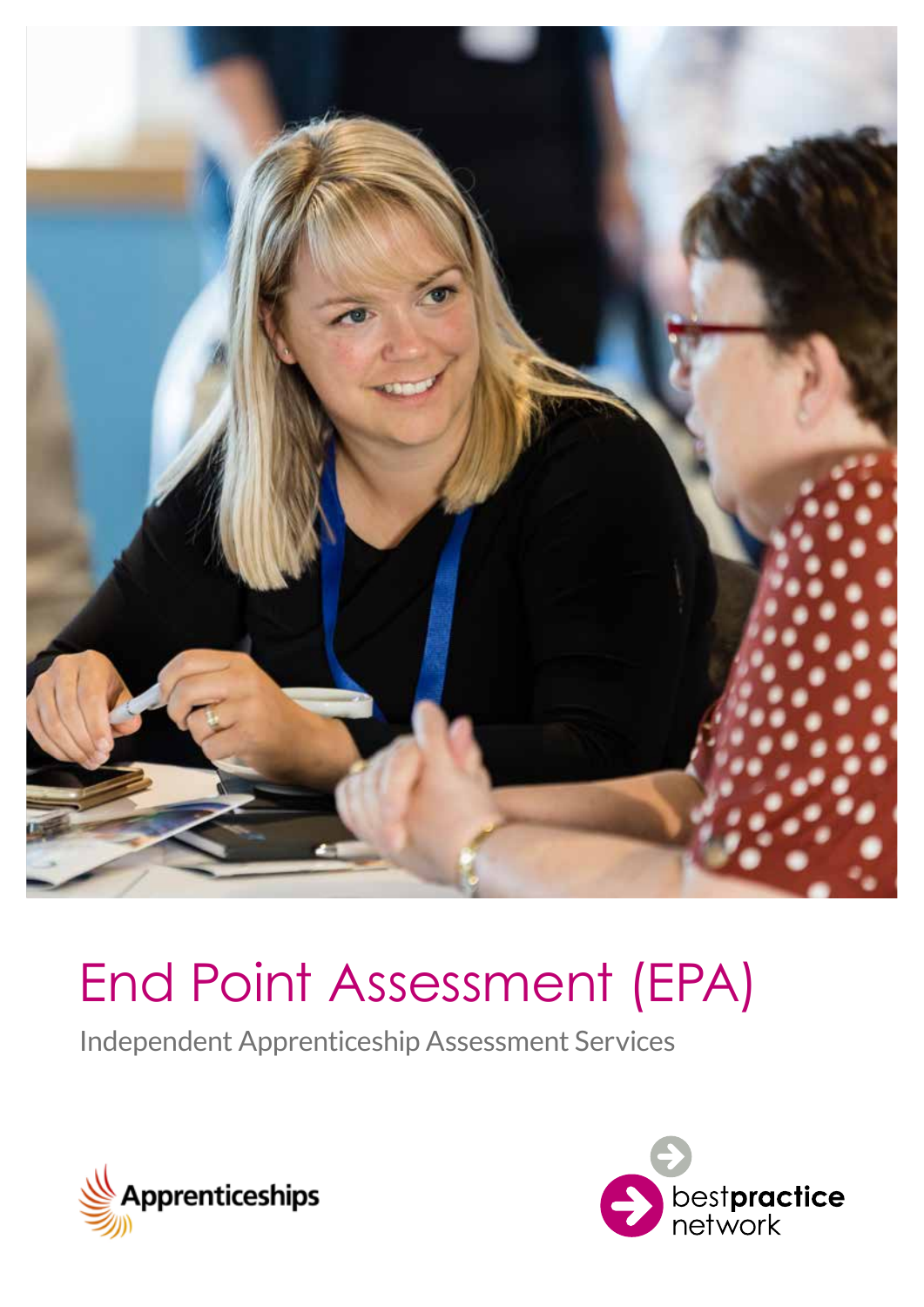

# End Point Assessment (EPA)

Independent Apprenticeship Assessment Services



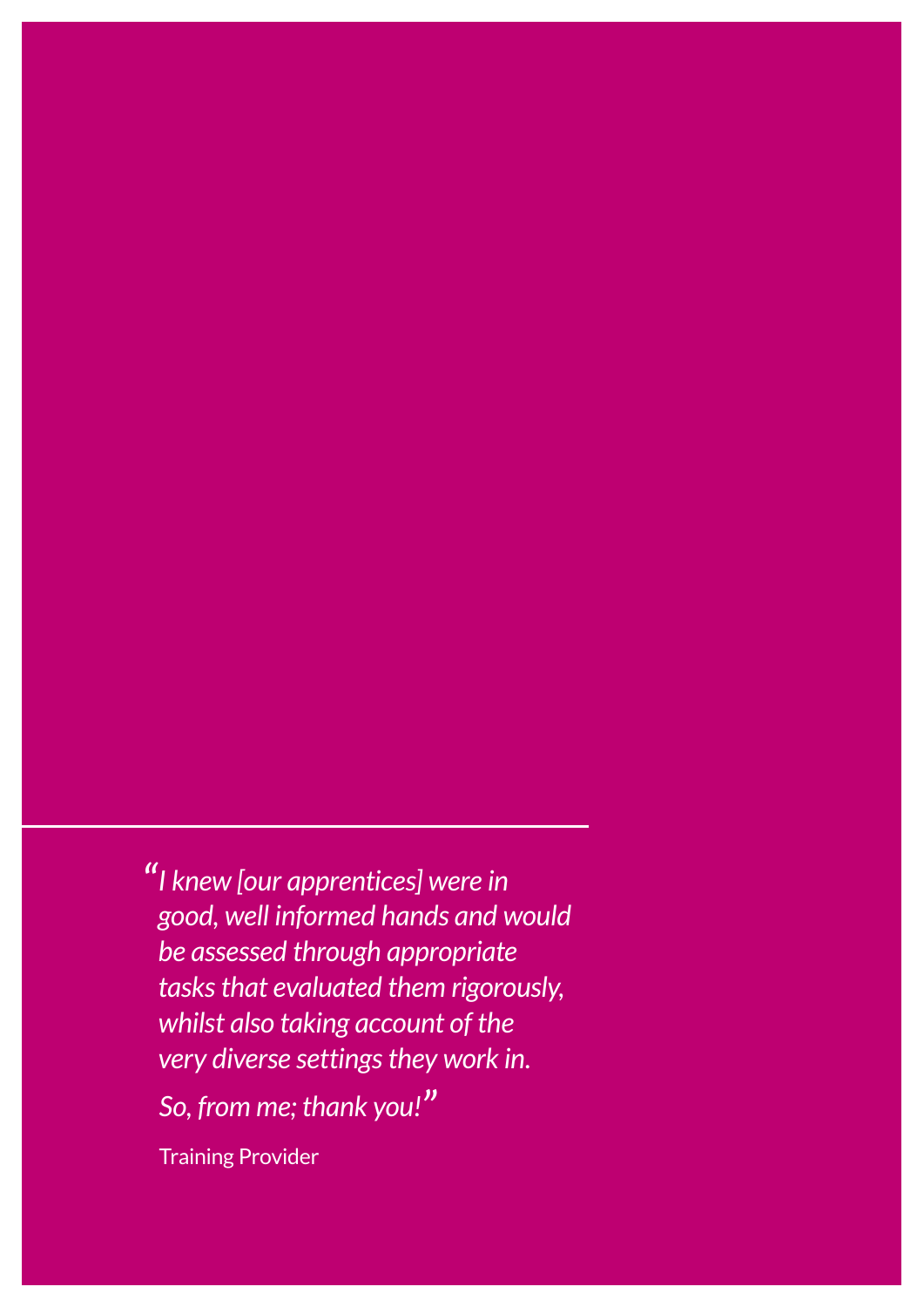*"I knew [our apprentices] were in good, well informed hands and would be assessed through appropriate tasks that evaluated them rigorously, whilst also taking account of the very diverse settings they work in. So, from me; thank you!"*

Training Provider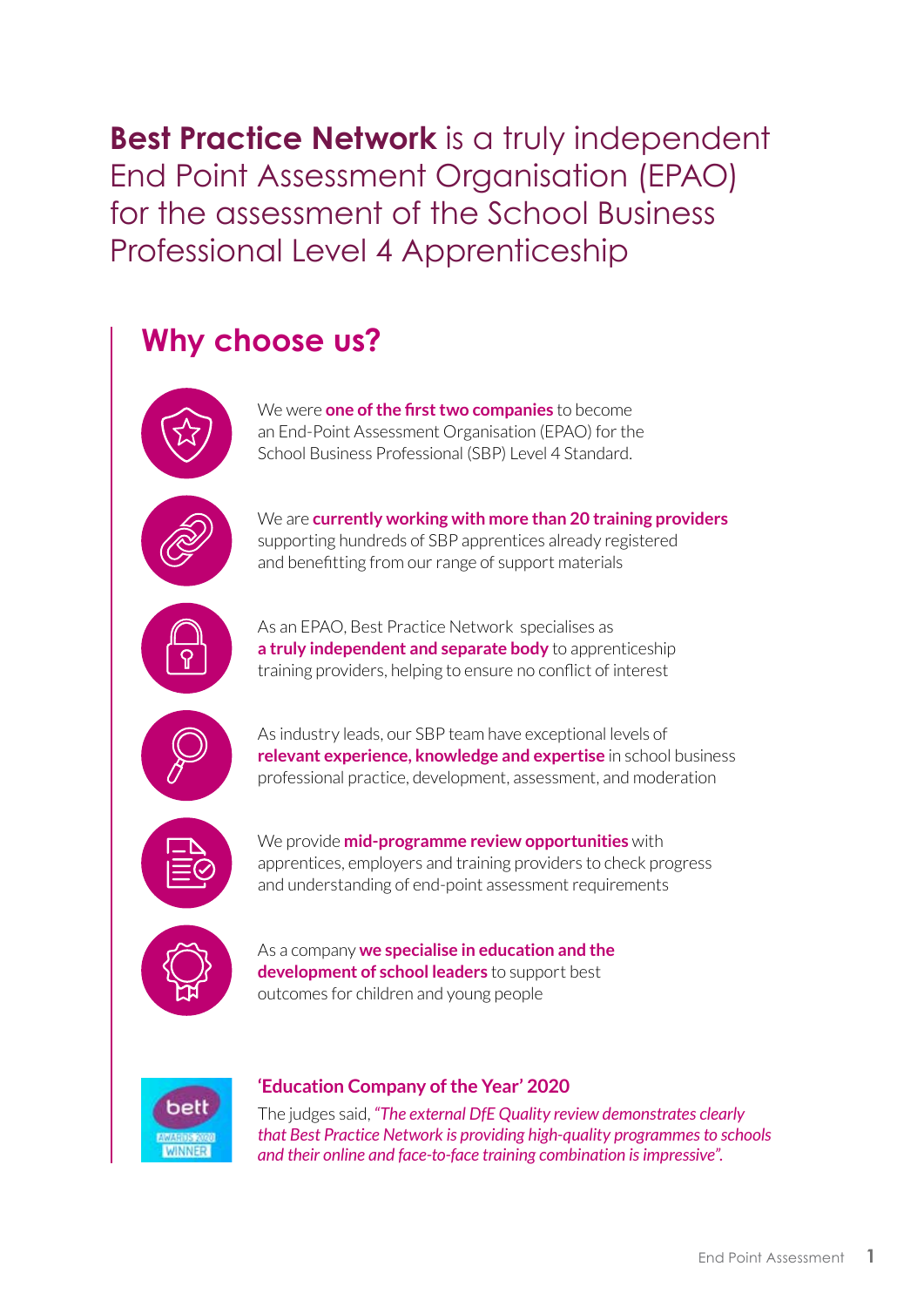**Best Practice Network** is a truly independent End Point Assessment Organisation (EPAO) for the assessment of the School Business Professional Level 4 Apprenticeship

### **Why choose us?**



We were **one of the first two companies** to become an End-Point Assessment Organisation (EPAO) for the School Business Professional (SBP) Level 4 Standard.



We are **currently working with more than 20 training providers**  supporting hundreds of SBP apprentices already registered and benefitting from our range of support materials



As an EPAO, [Best Practice Network](https://bestpracticenet.co.uk/)  specialises as **a truly independent and separate body** to apprenticeship training providers, helping to ensure no conflict of interest



As industry leads, our SBP team have exceptional levels of **relevant experience, knowledge and expertise** in school business professional practice, development, assessment, and moderation



We provide **mid-programme review opportunities** with apprentices, employers and training providers to check progress and understanding of end-point assessment requirements



As a company **we specialise in education and the development of school leaders** to support best outcomes for children and young people



#### **'Education Company of the Year' 2020**

The judges said, *"The external DfE Quality review demonstrates clearly that Best Practice Network is providing high-quality programmes to schools and their online and face-to-face training combination is impressive".*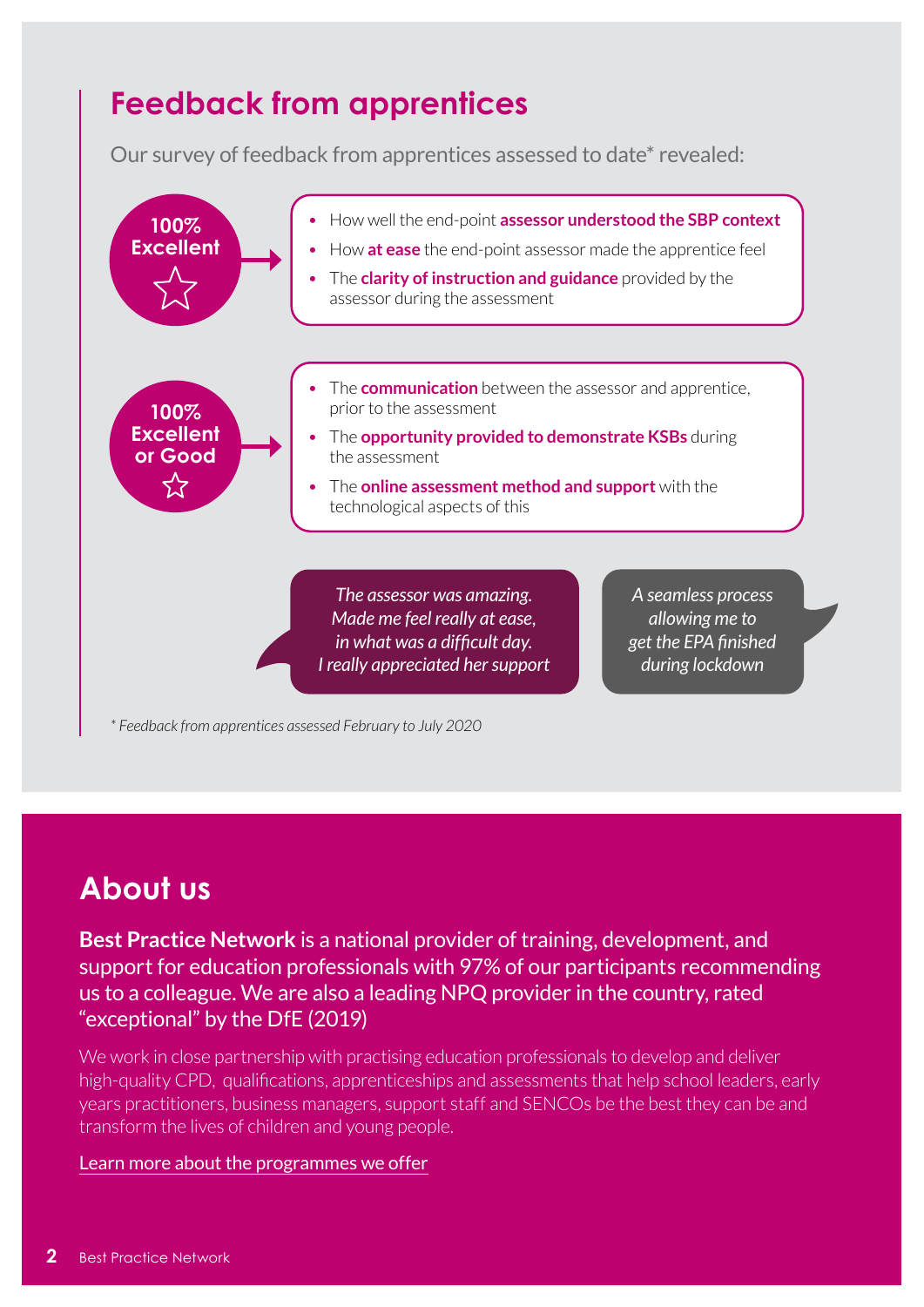### **Feedback from apprentices**

Our survey of feedback from apprentices assessed to date\* revealed:



*\* Feedback from apprentices assessed February to July 2020*

#### **About us**

**Best Practice Network** is a national provider of training, development, and support for education professionals with 97% of our participants recommending us to a colleague. We are also a leading NPQ provider in the country, rated "exceptional" by the DfE (2019)

We work in close partnership with practising education professionals to develop and deliver high-quality CPD, qualifications, apprenticeships and assessments that help school leaders, early years practitioners, business managers, support staff and SENCOs be the best they can be and transform the lives of children and young people.

#### [Learn more about the programmes we offer](https://bestpracticenet.co.uk/courses)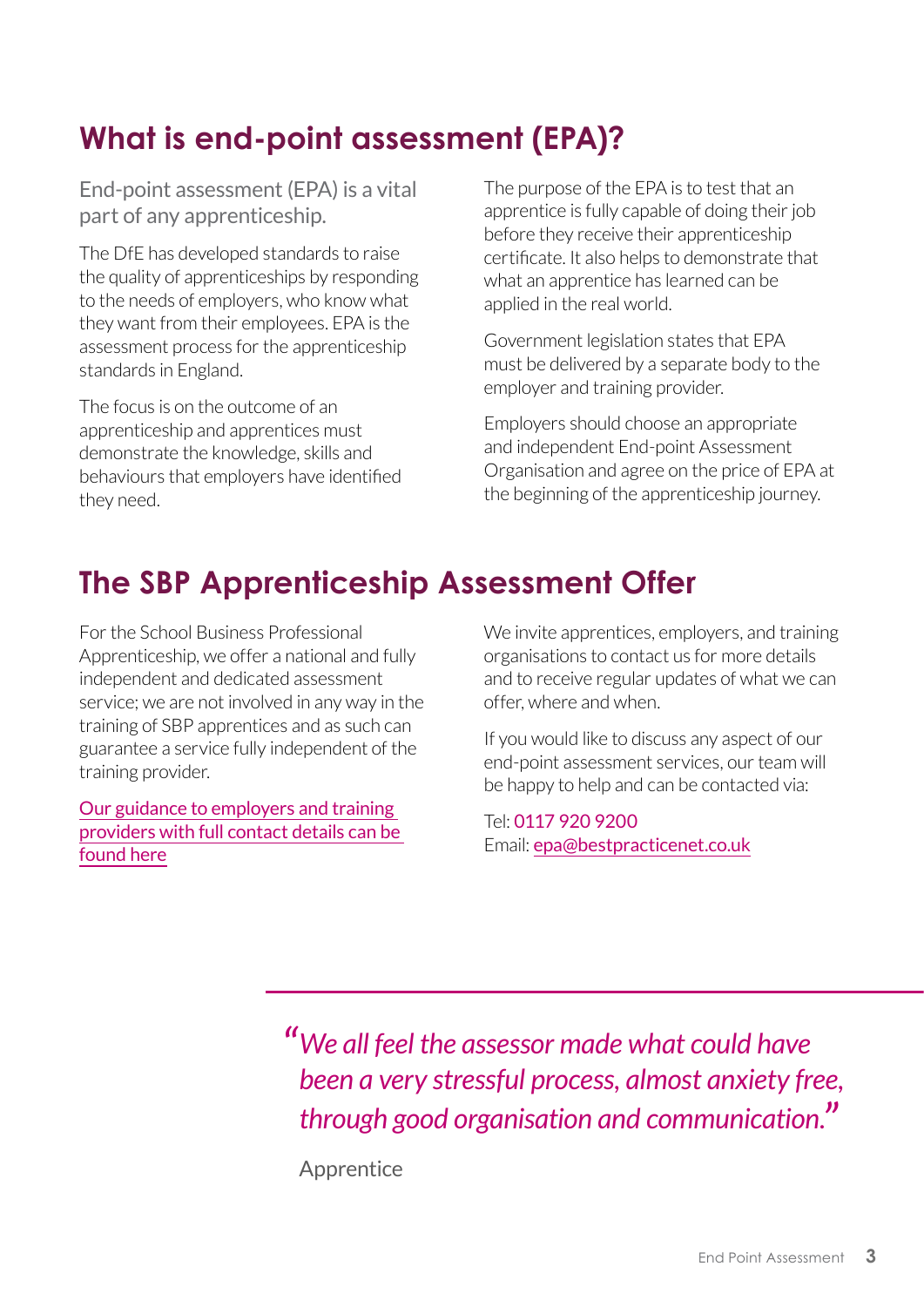# **What is end-point assessment (EPA)?**

End-point assessment (EPA) is a vital part of any apprenticeship.

The DfE has developed standards to raise the quality of apprenticeships by responding to the needs of employers, who know what they want from their employees. EPA is the assessment process for the apprenticeship standards in England.

The focus is on the outcome of an apprenticeship and apprentices must demonstrate the knowledge, skills and behaviours that employers have identified they need.

The purpose of the EPA is to test that an apprentice is fully capable of doing their job before they receive their apprenticeship certificate. It also helps to demonstrate that what an apprentice has learned can be applied in the real world.

Government legislation states that EPA must be delivered by a separate body to the employer and training provider.

Employers should choose an appropriate and independent End-point Assessment Organisation and agree on the price of EPA at the beginning of the apprenticeship journey.

## **The SBP Apprenticeship Assessment Offer**

For the School Business Professional Apprenticeship, we offer a national and fully independent and dedicated assessment service; we are not involved in any way in the training of SBP apprentices and as such can guarantee a service fully independent of the training provider.

Our guidance to employers and training providers with full contact details can be found [here](https://bestpracticenet.co.uk/Media/documents/BPN%20SBP%20L4%20EPAO%20Guidance%20for%20employers%20and%20training%20providers%20Autumn%202020.pdf)

We invite apprentices, employers, and training organisations to contact us for more details and to receive regular updates of what we can offer, where and when.

If you would like to discuss any aspect of our end-point assessment services, our team will be happy to help and can be contacted via:

Tel: 0117 920 9200 Email: [epa@bestpracticenet.co.uk](mailto:epa@bestpracticenet.co.uk)

*"We all feel the assessor made what could have been a very stressful process, almost anxiety free, through good organisation and communication."*

Apprentice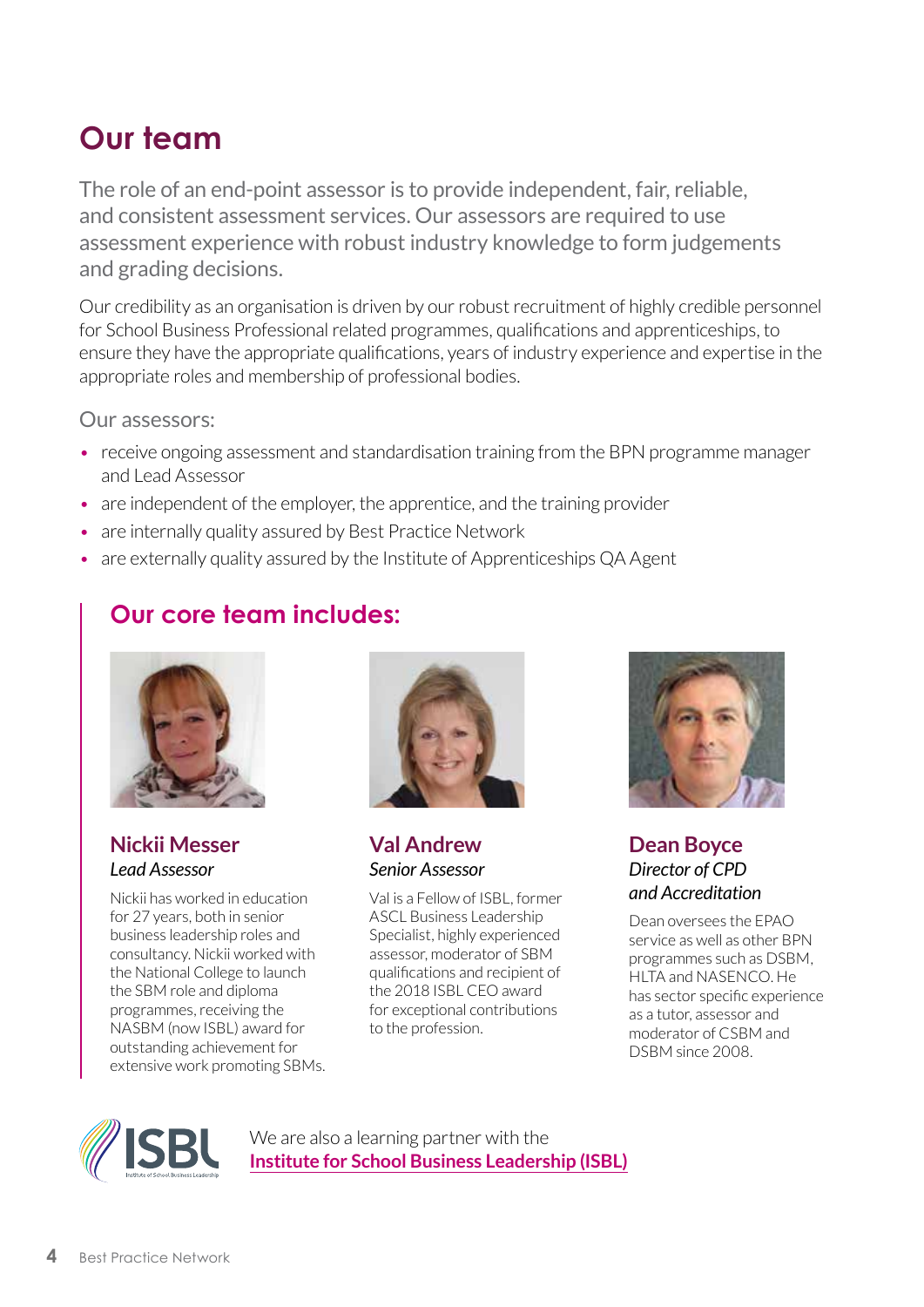### **Our team**

The role of an end-point assessor is to provide independent, fair, reliable, and consistent assessment services. Our assessors are required to use assessment experience with robust industry knowledge to form judgements and grading decisions.

Our credibility as an organisation is driven by our robust recruitment of highly credible personnel for School Business Professional related programmes, qualifications and apprenticeships, to ensure they have the appropriate qualifications, years of industry experience and expertise in the appropriate roles and membership of professional bodies.

Our assessors:

- receive ongoing assessment and standardisation training from the BPN programme manager and Lead Assessor
- are independent of the employer, the apprentice, and the training provider
- are internally quality assured by Best Practice Network
- are externally quality assured by the Institute of Apprenticeships QA Agent

#### **Our core team includes:**



**Nickii Messer** *Lead Assessor* 

Nickii has worked in education for 27 years, both in senior business leadership roles and consultancy. Nickii worked with the National College to launch the SBM role and diploma programmes, receiving the NASBM (now ISBL) award for outstanding achievement for extensive work promoting SBMs.



**[Val Andrew](https://bestpracticenet.co.uk/our-team)** *Senior Assessor* 

Val is a Fellow of ISBL, former ASCL Business Leadership Specialist, highly experienced assessor, moderator of SBM qualifications and recipient of the 2018 ISBL CEO award for exceptional contributions to the profession.



#### **[Dean Boyce](https://bestpracticenet.co.uk/our-team)** *Director of CPD and Accreditation*

Dean oversees the EPAO service as well as other BPN programmes such as DSBM, HLTA and NASENCO. He has sector specific experience as a tutor, assessor and moderator of CSBM and DSBM since 2008.



We are also a learning partner with the **[Institute for School Business Leadership \(ISBL\)](https://isbl.org.uk/)**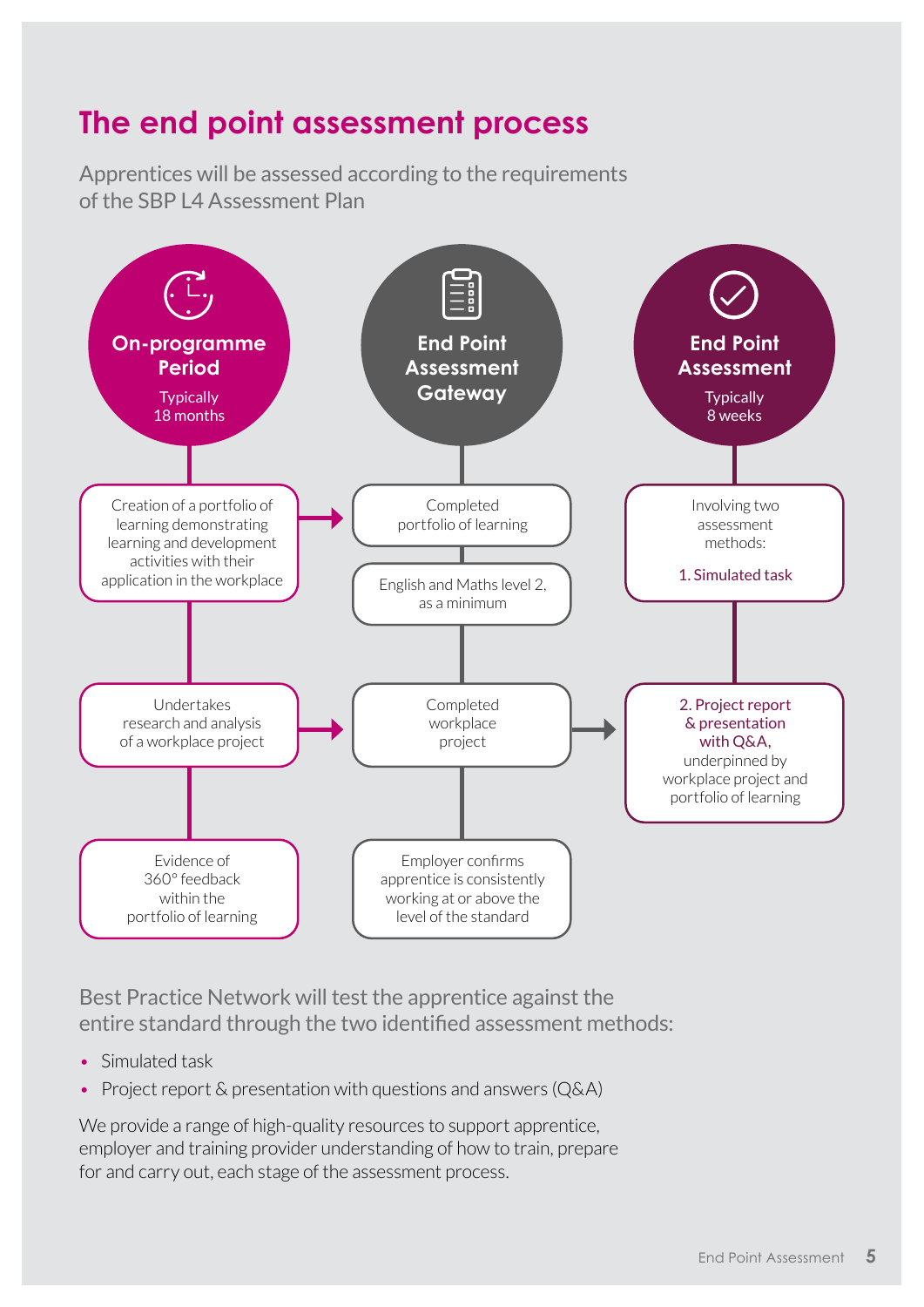#### **The end point assessment process**

Apprentices will be assessed according to the requirements of the SBP L4 Assessment Plan



Best Practice Network will test the apprentice against the entire standard through the two identified assessment methods:

- Simulated task
- Project report & presentation with questions and answers (Q&A)

We provide a range of high-quality resources to support apprentice, employer and training provider understanding of how to train, prepare for and carry out, each stage of the assessment process.